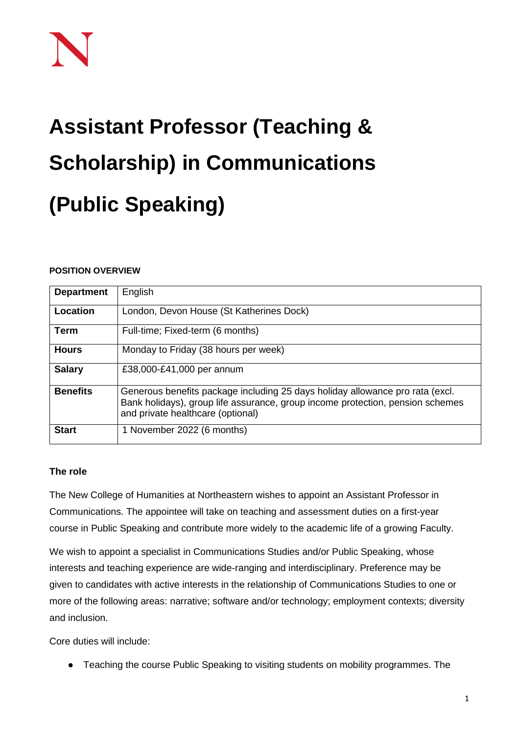# **Assistant Professor (Teaching & Scholarship) in Communications (Public Speaking)**

# **POSITION OVERVIEW**

| <b>Department</b> | English                                                                                                                                                                                              |
|-------------------|------------------------------------------------------------------------------------------------------------------------------------------------------------------------------------------------------|
| Location          | London, Devon House (St Katherines Dock)                                                                                                                                                             |
| Term              | Full-time; Fixed-term (6 months)                                                                                                                                                                     |
| <b>Hours</b>      | Monday to Friday (38 hours per week)                                                                                                                                                                 |
| <b>Salary</b>     | £38,000-£41,000 per annum                                                                                                                                                                            |
| <b>Benefits</b>   | Generous benefits package including 25 days holiday allowance pro rata (excl.<br>Bank holidays), group life assurance, group income protection, pension schemes<br>and private healthcare (optional) |
| <b>Start</b>      | 1 November 2022 (6 months)                                                                                                                                                                           |

# **The role**

The New College of Humanities at Northeastern wishes to appoint an Assistant Professor in Communications. The appointee will take on teaching and assessment duties on a first-year course in Public Speaking and contribute more widely to the academic life of a growing Faculty.

We wish to appoint a specialist in Communications Studies and/or Public Speaking, whose interests and teaching experience are wide-ranging and interdisciplinary. Preference may be given to candidates with active interests in the relationship of Communications Studies to one or more of the following areas: narrative; software and/or technology; employment contexts; diversity and inclusion.

Core duties will include:

● Teaching the course Public Speaking to visiting students on mobility programmes. The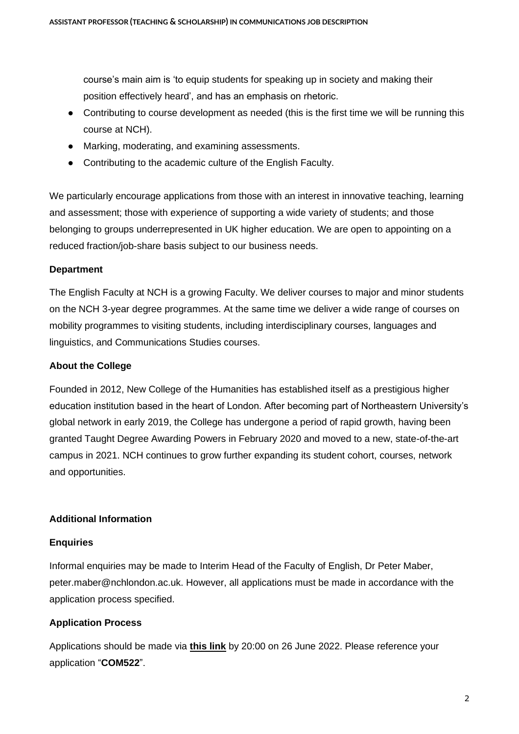course's main aim is 'to equip students for speaking up in society and making their position effectively heard', and has an emphasis on rhetoric.

- Contributing to course development as needed (this is the first time we will be running this course at NCH).
- Marking, moderating, and examining assessments.
- Contributing to the academic culture of the English Faculty.

We particularly encourage applications from those with an interest in innovative teaching, learning and assessment; those with experience of supporting a wide variety of students; and those belonging to groups underrepresented in UK higher education. We are open to appointing on a reduced fraction/job-share basis subject to our business needs.

#### **Department**

The English Faculty at NCH is a growing Faculty. We deliver courses to major and minor students on the NCH 3-year degree programmes. At the same time we deliver a wide range of courses on mobility programmes to visiting students, including interdisciplinary courses, languages and linguistics, and Communications Studies courses.

### **About the College**

Founded in 2012, New College of the Humanities has established itself as a prestigious higher education institution based in the heart of London. After becoming part of Northeastern University's global network in early 2019, the College has undergone a period of rapid growth, having been granted Taught Degree Awarding Powers in February 2020 and moved to a new, state-of-the-art campus in 2021. NCH continues to grow further expanding its student cohort, courses, network and opportunities.

#### **Additional Information**

#### **Enquiries**

Informal enquiries may be made to Interim Head of the Faculty of English, Dr Peter Maber, peter.maber@nchlondon.ac.uk. However, all applications must be made in accordance with the application process specified.

# **Application Process**

Applications should be made via **[this link](https://share.hsforms.com/1p3G6XPo_QD-X7V9aRnSTYQ2peji)** by 20:00 on 26 June 2022. Please reference your application "**COM522**".